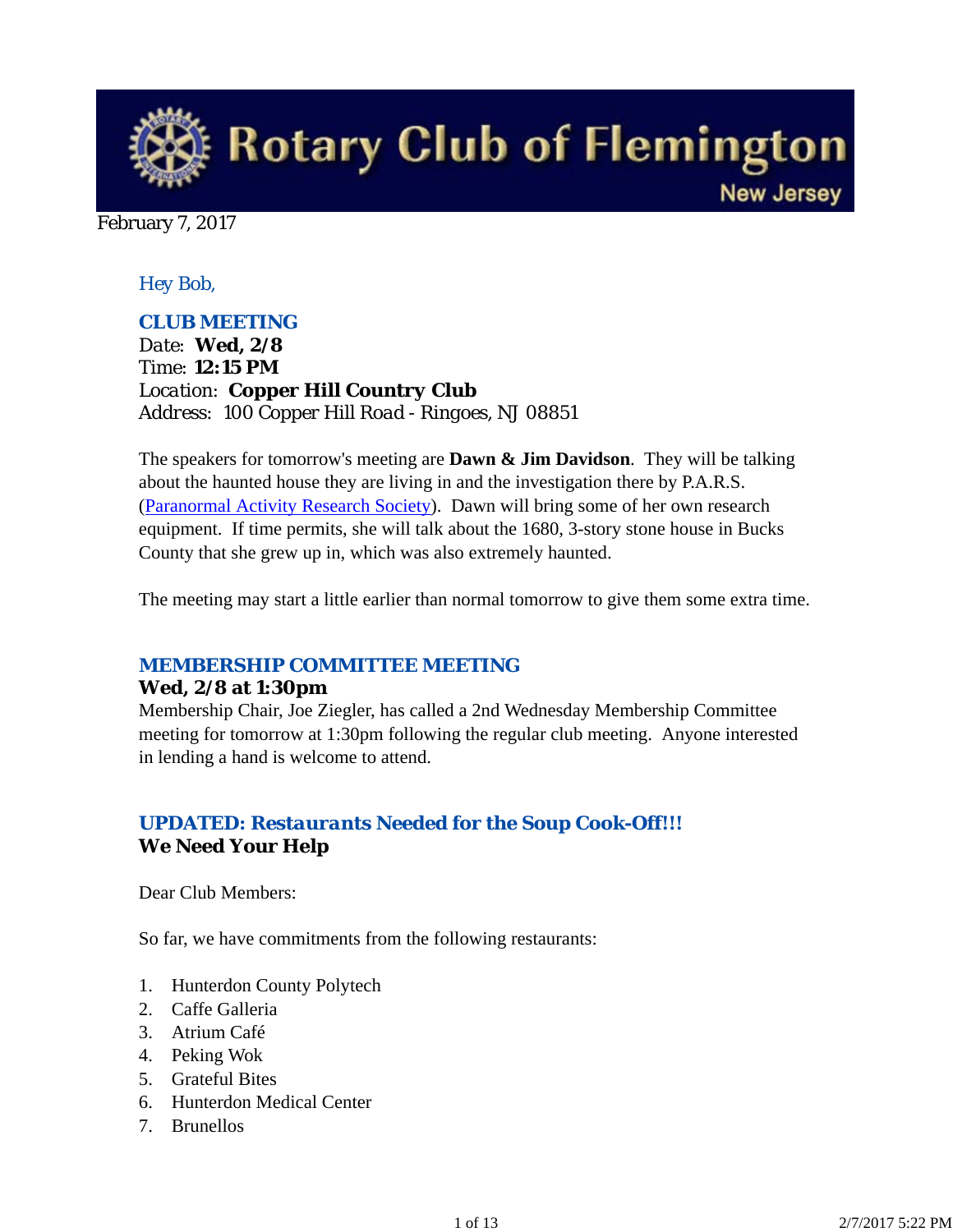

February 7, 2017

### *Hey Bob,*

### *CLUB MEETING*

*Date: Wed, 2/8 Time: 12:15 PM Location: Copper Hill Country Club Address: 100 Copper Hill Road - Ringoes, NJ 08851*

The speakers for tomorrow's meeting are **Dawn & Jim Davidson**. They will be talking about the haunted house they are living in and the investigation there by P.A.R.S. (Paranormal Activity Research Society). Dawn will bring some of her own research equipment. If time permits, she will talk about the 1680, 3-story stone house in Bucks County that she grew up in, which was also extremely haunted.

The meeting may start a little earlier than normal tomorrow to give them some extra time.

### *MEMBERSHIP COMMITTEE MEETING*

#### **Wed, 2/8 at 1:30pm**

Membership Chair, Joe Ziegler, has called a 2nd Wednesday Membership Committee meeting for tomorrow at 1:30pm following the regular club meeting. Anyone interested in lending a hand is welcome to attend.

## *UPDATED: Restaurants Needed for the Soup Cook-Off!!!* **We Need Your Help**

Dear Club Members:

So far, we have commitments from the following restaurants:

- 1. Hunterdon County Polytech
- 2. Caffe Galleria
- 3. Atrium Café
- 4. Peking Wok
- 5. Grateful Bites
- 6. Hunterdon Medical Center
- 7. Brunellos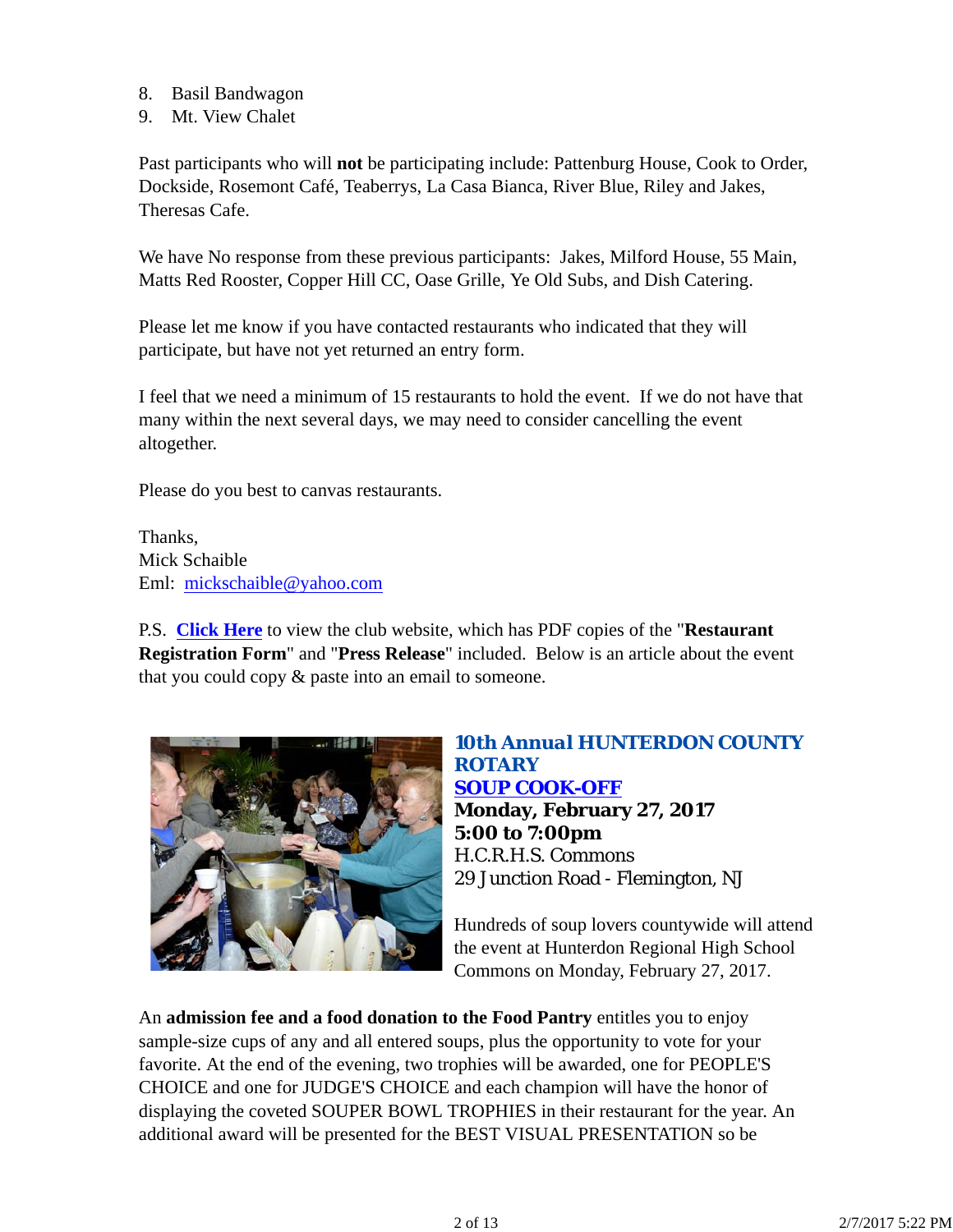- 8. Basil Bandwagon
- 9. Mt. View Chalet

Past participants who will **not** be participating include: Pattenburg House, Cook to Order, Dockside, Rosemont Café, Teaberrys, La Casa Bianca, River Blue, Riley and Jakes, Theresas Cafe.

We have No response from these previous participants: Jakes, Milford House, 55 Main, Matts Red Rooster, Copper Hill CC, Oase Grille, Ye Old Subs, and Dish Catering.

Please let me know if you have contacted restaurants who indicated that they will participate, but have not yet returned an entry form.

I feel that we need a minimum of 15 restaurants to hold the event. If we do not have that many within the next several days, we may need to consider cancelling the event altogether.

Please do you best to canvas restaurants.

Thanks, Mick Schaible Eml: mickschaible@yahoo.com

P.S. **Click Here** to view the club website, which has PDF copies of the "**Restaurant Registration Form**" and "**Press Release**" included. Below is an article about the event that you could copy & paste into an email to someone.



## *10th Annual HUNTERDON COUNTY ROTARY SOUP COOK-OFF* **Monday, February 27, 2017 5:00 to 7:00pm** H.C.R.H.S. Commons 29 Junction Road - Flemington, NJ

Hundreds of soup lovers countywide will attend the event at Hunterdon Regional High School Commons on Monday, February 27, 2017.

An **admission fee and a food donation to the Food Pantry** entitles you to enjoy sample-size cups of any and all entered soups, plus the opportunity to vote for your favorite. At the end of the evening, two trophies will be awarded, one for PEOPLE'S CHOICE and one for JUDGE'S CHOICE and each champion will have the honor of displaying the coveted SOUPER BOWL TROPHIES in their restaurant for the year. An additional award will be presented for the BEST VISUAL PRESENTATION so be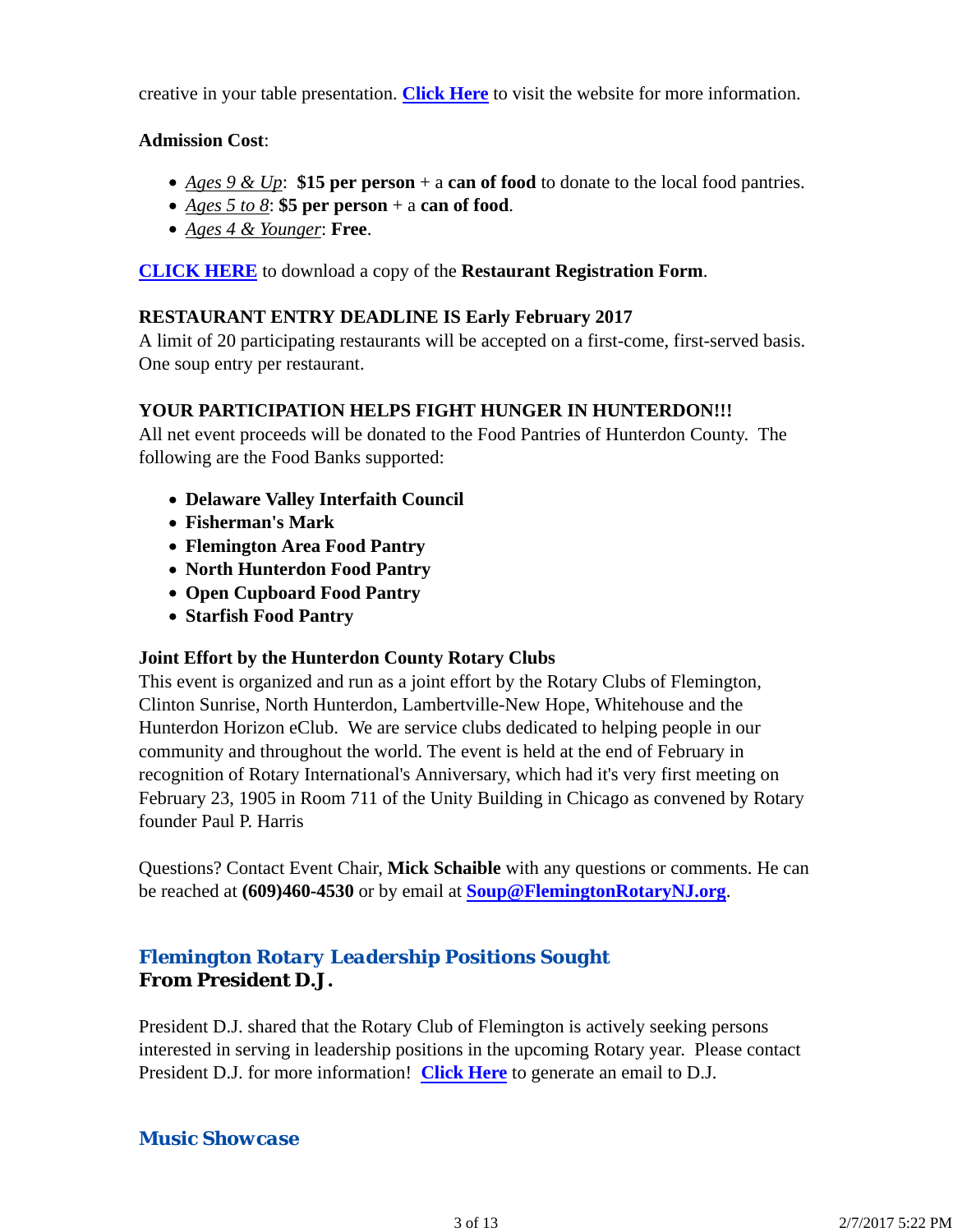creative in your table presentation. **Click Here** to visit the website for more information.

### **Admission Cost**:

- *Ages 9 & Up*: **\$15 per person** + a **can of food** to donate to the local food pantries.
- *Ages 5 to 8*: **\$5 per person** + a **can of food**.
- *Ages 4 & Younger*: **Free**.

**CLICK HERE** to download a copy of the **Restaurant Registration Form**.

### **RESTAURANT ENTRY DEADLINE IS Early February 2017**

A limit of 20 participating restaurants will be accepted on a first-come, first-served basis. One soup entry per restaurant.

### **YOUR PARTICIPATION HELPS FIGHT HUNGER IN HUNTERDON!!!**

All net event proceeds will be donated to the Food Pantries of Hunterdon County. The following are the Food Banks supported:

- **Delaware Valley Interfaith Council**
- **Fisherman's Mark**
- **Flemington Area Food Pantry**
- **North Hunterdon Food Pantry**
- **Open Cupboard Food Pantry**
- **Starfish Food Pantry**

### **Joint Effort by the Hunterdon County Rotary Clubs**

This event is organized and run as a joint effort by the Rotary Clubs of Flemington, Clinton Sunrise, North Hunterdon, Lambertville-New Hope, Whitehouse and the Hunterdon Horizon eClub. We are service clubs dedicated to helping people in our community and throughout the world. The event is held at the end of February in recognition of Rotary International's Anniversary, which had it's very first meeting on February 23, 1905 in Room 711 of the Unity Building in Chicago as convened by Rotary founder Paul P. Harris

Questions? Contact Event Chair, **Mick Schaible** with any questions or comments. He can be reached at **(609)460-4530** or by email at **Soup@FlemingtonRotaryNJ.org**.

## *Flemington Rotary Leadership Positions Sought* **From President D.J.**

President D.J. shared that the Rotary Club of Flemington is actively seeking persons interested in serving in leadership positions in the upcoming Rotary year. Please contact President D.J. for more information! **Click Here** to generate an email to D.J.

### *Music Showcase*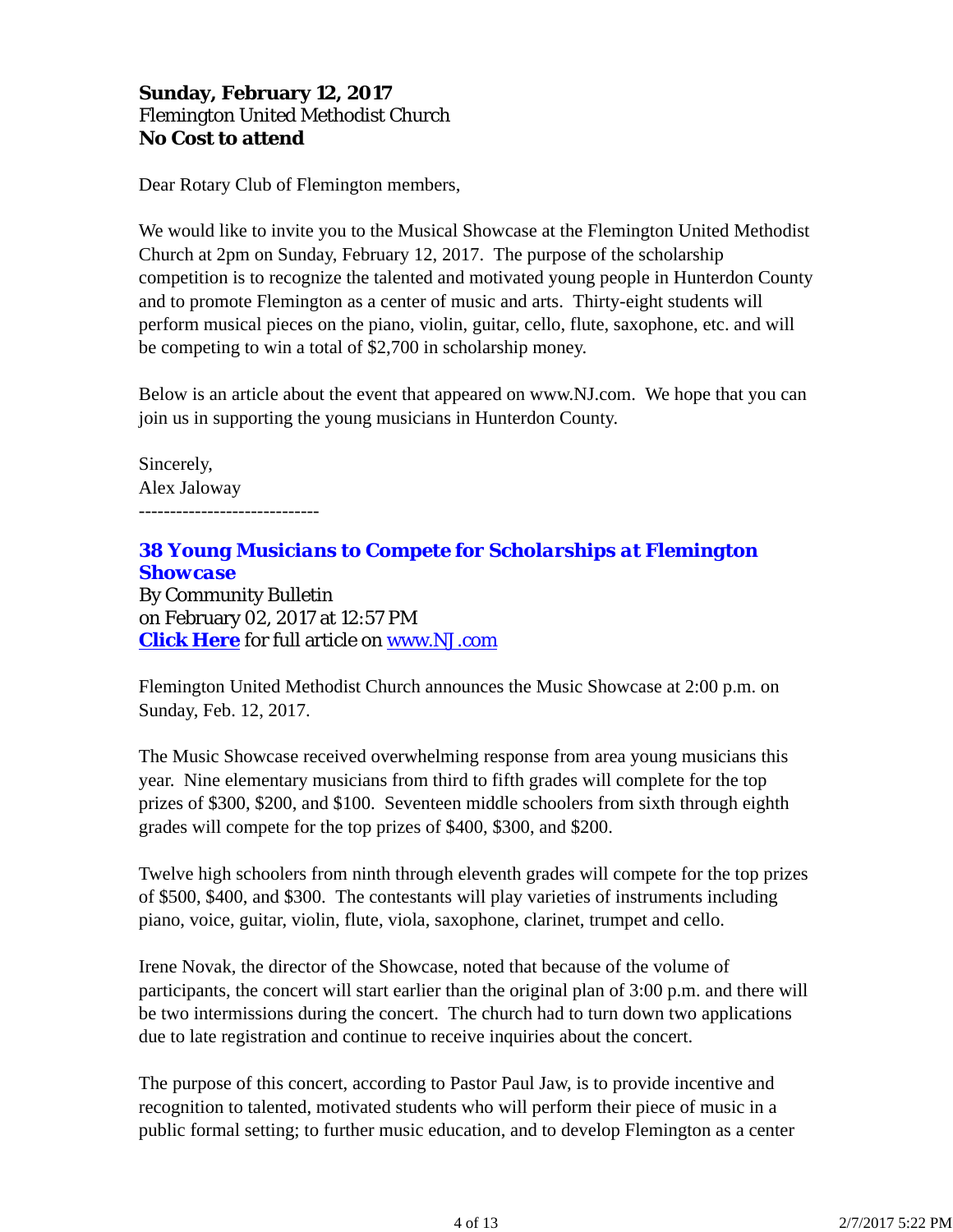## **Sunday, February 12, 2017** Flemington United Methodist Church **No Cost to attend**

Dear Rotary Club of Flemington members,

We would like to invite you to the Musical Showcase at the Flemington United Methodist Church at 2pm on Sunday, February 12, 2017. The purpose of the scholarship competition is to recognize the talented and motivated young people in Hunterdon County and to promote Flemington as a center of music and arts. Thirty-eight students will perform musical pieces on the piano, violin, guitar, cello, flute, saxophone, etc. and will be competing to win a total of \$2,700 in scholarship money.

Below is an article about the event that appeared on www.NJ.com. We hope that you can join us in supporting the young musicians in Hunterdon County.

Sincerely, Alex Jaloway -----------------------------

*38 Young Musicians to Compete for Scholarships at Flemington Showcase* By Community Bulletin on February 02, 2017 at 12:57 PM **Click Here** for full article on www.NJ.com

Flemington United Methodist Church announces the Music Showcase at 2:00 p.m. on Sunday, Feb. 12, 2017.

The Music Showcase received overwhelming response from area young musicians this year. Nine elementary musicians from third to fifth grades will complete for the top prizes of \$300, \$200, and \$100. Seventeen middle schoolers from sixth through eighth grades will compete for the top prizes of \$400, \$300, and \$200.

Twelve high schoolers from ninth through eleventh grades will compete for the top prizes of \$500, \$400, and \$300. The contestants will play varieties of instruments including piano, voice, guitar, violin, flute, viola, saxophone, clarinet, trumpet and cello.

Irene Novak, the director of the Showcase, noted that because of the volume of participants, the concert will start earlier than the original plan of 3:00 p.m. and there will be two intermissions during the concert. The church had to turn down two applications due to late registration and continue to receive inquiries about the concert.

The purpose of this concert, according to Pastor Paul Jaw, is to provide incentive and recognition to talented, motivated students who will perform their piece of music in a public formal setting; to further music education, and to develop Flemington as a center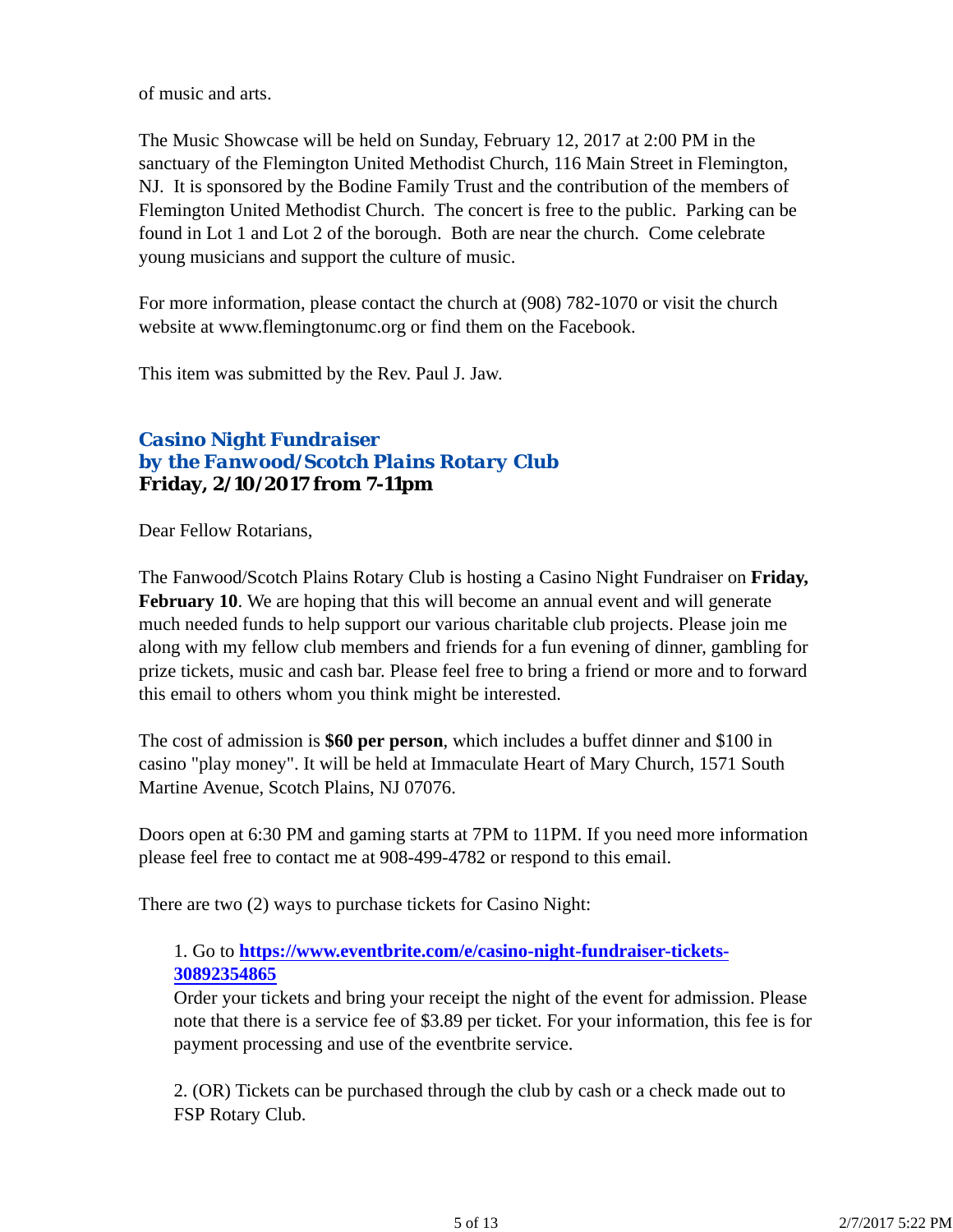of music and arts.

The Music Showcase will be held on Sunday, February 12, 2017 at 2:00 PM in the sanctuary of the Flemington United Methodist Church, 116 Main Street in Flemington, NJ. It is sponsored by the Bodine Family Trust and the contribution of the members of Flemington United Methodist Church. The concert is free to the public. Parking can be found in Lot 1 and Lot 2 of the borough. Both are near the church. Come celebrate young musicians and support the culture of music.

For more information, please contact the church at (908) 782-1070 or visit the church website at www.flemingtonumc.org or find them on the Facebook.

This item was submitted by the Rev. Paul J. Jaw.

## *Casino Night Fundraiser by the Fanwood/Scotch Plains Rotary Club* **Friday, 2/10/2017 from 7-11pm**

Dear Fellow Rotarians,

The Fanwood/Scotch Plains Rotary Club is hosting a Casino Night Fundraiser on **Friday, February 10.** We are hoping that this will become an annual event and will generate much needed funds to help support our various charitable club projects. Please join me along with my fellow club members and friends for a fun evening of dinner, gambling for prize tickets, music and cash bar. Please feel free to bring a friend or more and to forward this email to others whom you think might be interested.

The cost of admission is **\$60 per person**, which includes a buffet dinner and \$100 in casino "play money". It will be held at Immaculate Heart of Mary Church, 1571 South Martine Avenue, Scotch Plains, NJ 07076.

Doors open at 6:30 PM and gaming starts at 7PM to 11PM. If you need more information please feel free to contact me at 908-499-4782 or respond to this email.

There are two (2) ways to purchase tickets for Casino Night:

## 1. Go to **https://www.eventbrite.com/e/casino-night-fundraiser-tickets-30892354865**

Order your tickets and bring your receipt the night of the event for admission. Please note that there is a service fee of \$3.89 per ticket. For your information, this fee is for payment processing and use of the eventbrite service.

2. (OR) Tickets can be purchased through the club by cash or a check made out to FSP Rotary Club.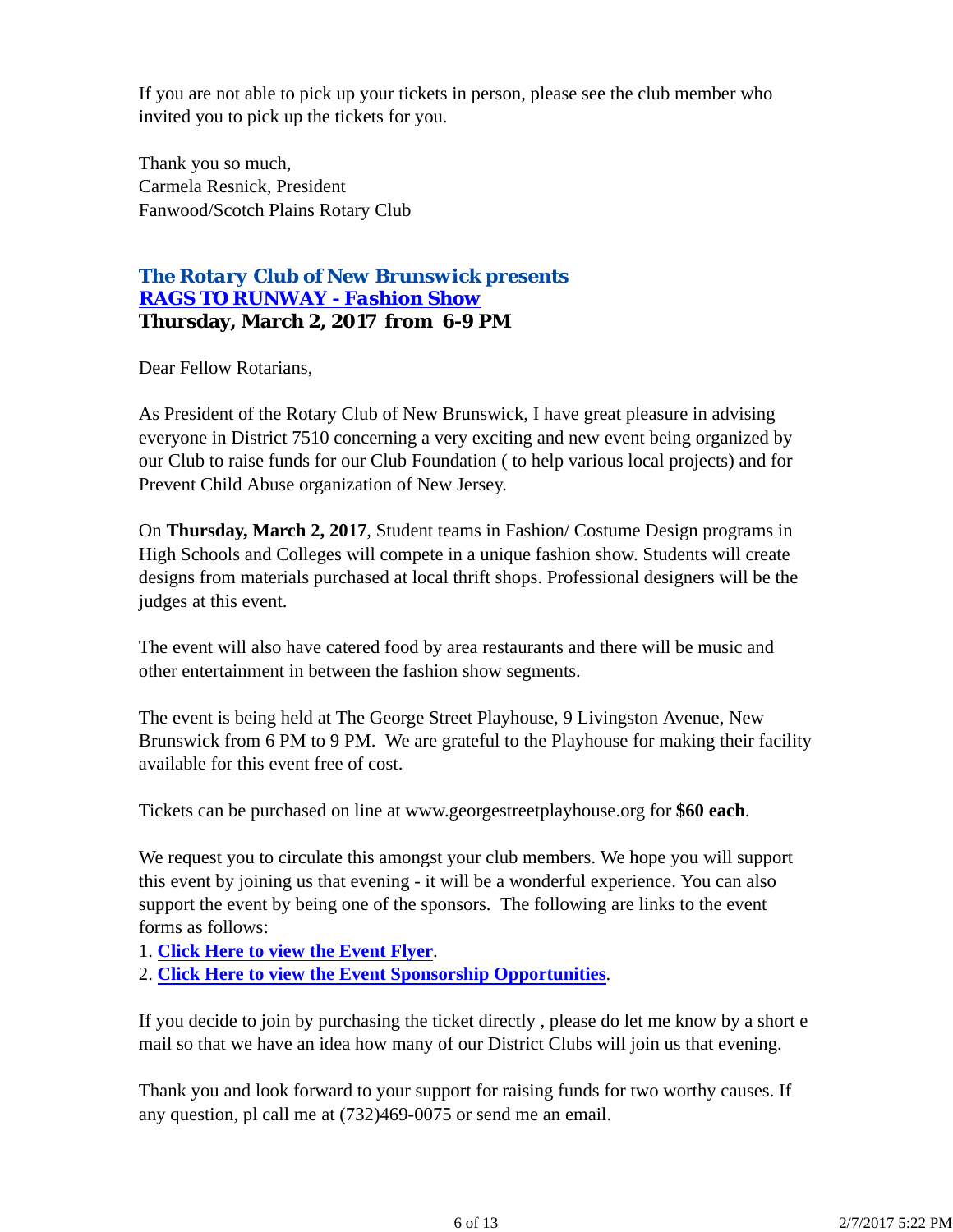If you are not able to pick up your tickets in person, please see the club member who invited you to pick up the tickets for you.

Thank you so much, Carmela Resnick, President Fanwood/Scotch Plains Rotary Club

## *The Rotary Club of New Brunswick presents RAGS TO RUNWAY - Fashion Show* **Thursday, March 2, 2017 from 6-9 PM**

Dear Fellow Rotarians,

As President of the Rotary Club of New Brunswick, I have great pleasure in advising everyone in District 7510 concerning a very exciting and new event being organized by our Club to raise funds for our Club Foundation ( to help various local projects) and for Prevent Child Abuse organization of New Jersey.

On **Thursday, March 2, 2017**, Student teams in Fashion/ Costume Design programs in High Schools and Colleges will compete in a unique fashion show. Students will create designs from materials purchased at local thrift shops. Professional designers will be the judges at this event.

The event will also have catered food by area restaurants and there will be music and other entertainment in between the fashion show segments.

The event is being held at The George Street Playhouse, 9 Livingston Avenue, New Brunswick from 6 PM to 9 PM. We are grateful to the Playhouse for making their facility available for this event free of cost.

Tickets can be purchased on line at www.georgestreetplayhouse.org for **\$60 each**.

We request you to circulate this amongst your club members. We hope you will support this event by joining us that evening - it will be a wonderful experience. You can also support the event by being one of the sponsors. The following are links to the event forms as follows:

1. **Click Here to view the Event Flyer**.

2. **Click Here to view the Event Sponsorship Opportunities**.

If you decide to join by purchasing the ticket directly , please do let me know by a short e mail so that we have an idea how many of our District Clubs will join us that evening.

Thank you and look forward to your support for raising funds for two worthy causes. If any question, pl call me at (732)469-0075 or send me an email.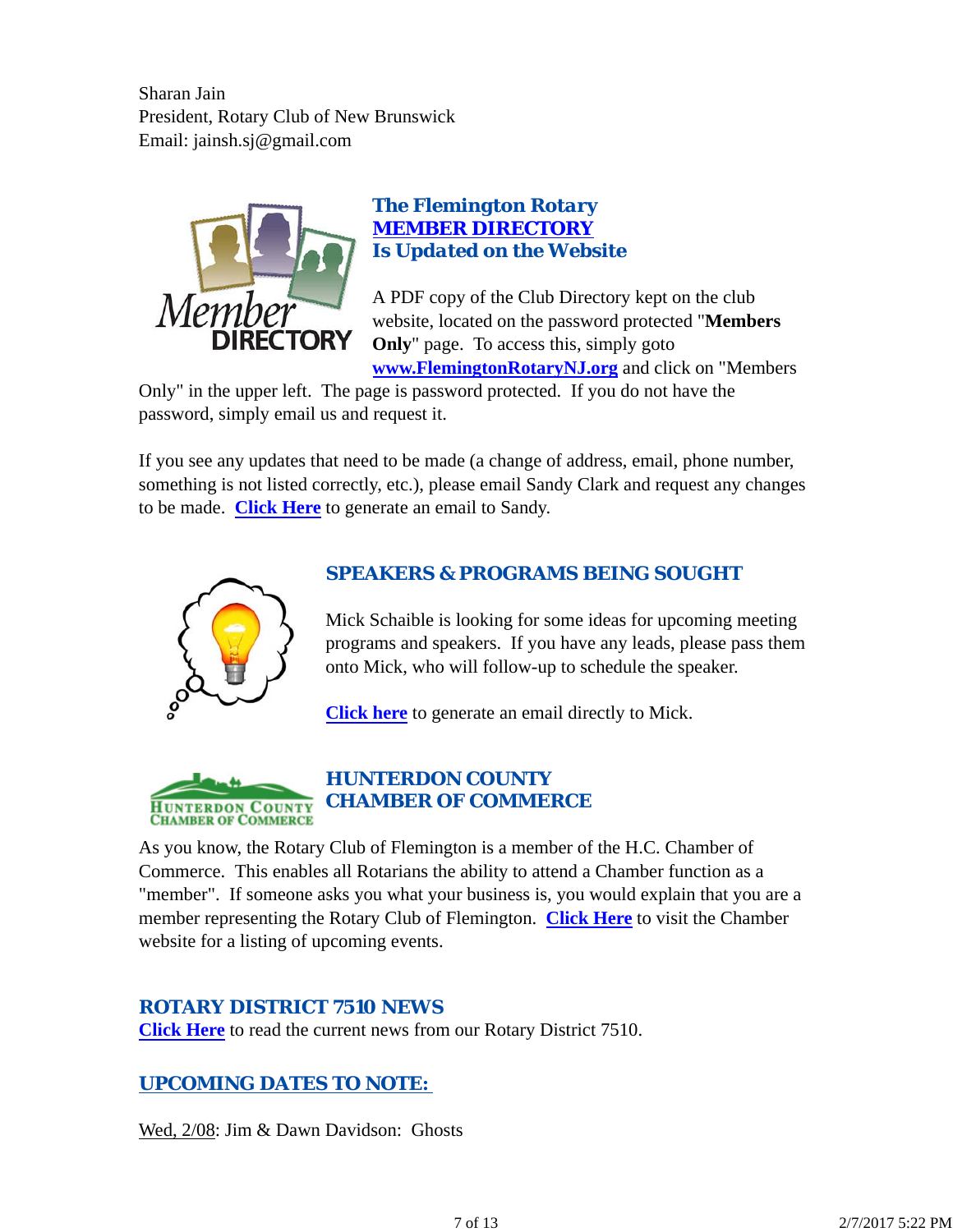Sharan Jain President, Rotary Club of New Brunswick Email: jainsh.sj@gmail.com



## *The Flemington Rotary MEMBER DIRECTORY Is Updated on the Website*

A PDF copy of the Club Directory kept on the club website, located on the password protected "**Members Only**" page. To access this, simply goto **www.FlemingtonRotaryNJ.org** and click on "Members

Only" in the upper left. The page is password protected. If you do not have the password, simply email us and request it.

If you see any updates that need to be made (a change of address, email, phone number, something is not listed correctly, etc.), please email Sandy Clark and request any changes to be made. **Click Here** to generate an email to Sandy.



## *SPEAKERS & PROGRAMS BEING SOUGHT*

Mick Schaible is looking for some ideas for upcoming meeting programs and speakers. If you have any leads, please pass them onto Mick, who will follow-up to schedule the speaker.

**Click here** to generate an email directly to Mick.



## *HUNTERDON COUNTY CHAMBER OF COMMERCE*

As you know, the Rotary Club of Flemington is a member of the H.C. Chamber of Commerce. This enables all Rotarians the ability to attend a Chamber function as a "member". If someone asks you what your business is, you would explain that you are a member representing the Rotary Club of Flemington. **Click Here** to visit the Chamber website for a listing of upcoming events.

## *ROTARY DISTRICT 7510 NEWS*

**Click Here** to read the current news from our Rotary District 7510.

## *UPCOMING DATES TO NOTE:*

Wed, 2/08: Jim & Dawn Davidson: Ghosts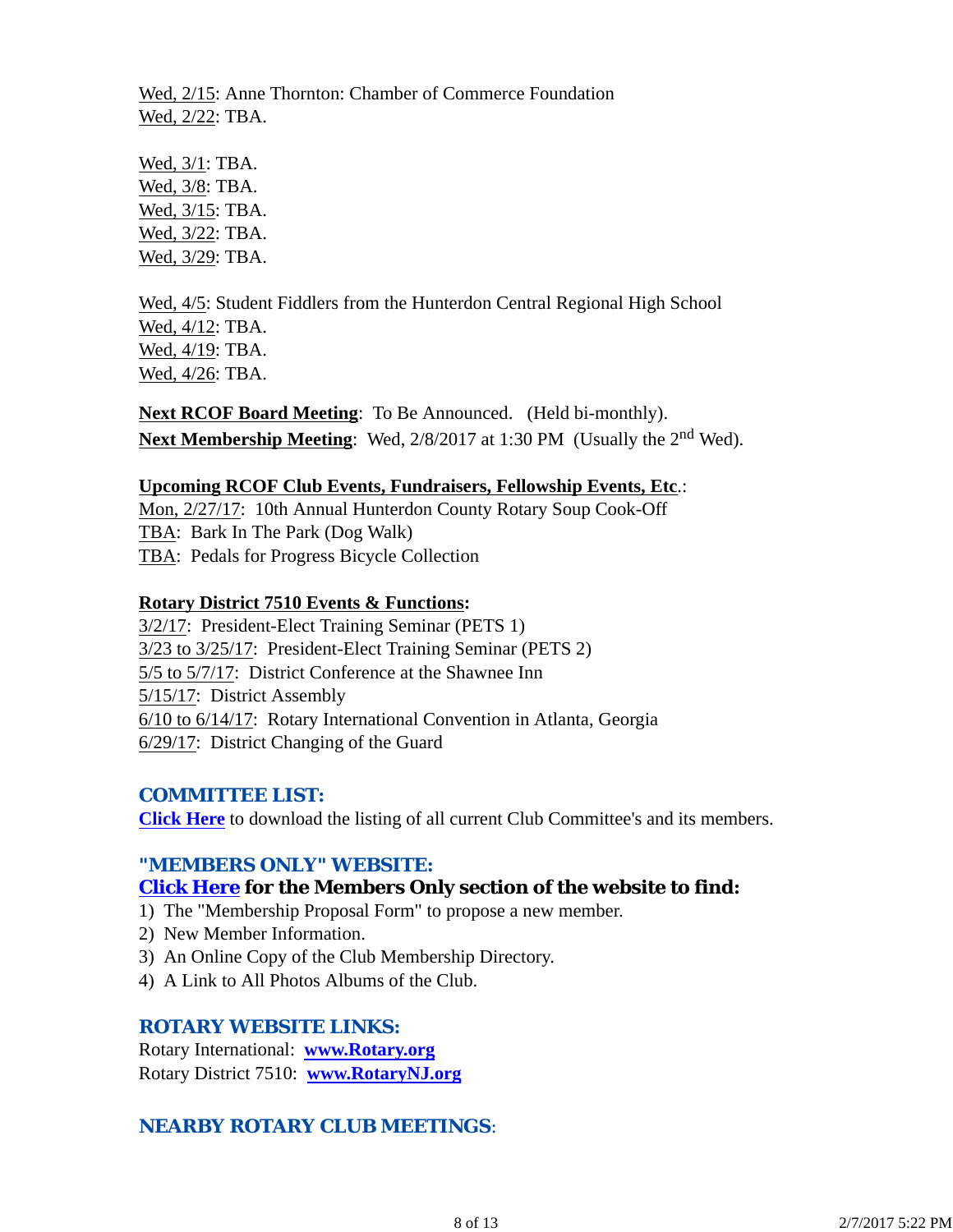Wed, 2/15: Anne Thornton: Chamber of Commerce Foundation Wed, 2/22: TBA.

Wed, 3/1: TBA. Wed, 3/8: TBA. Wed, 3/15: TBA. Wed, 3/22: TBA. Wed, 3/29: TBA.

Wed, 4/5: Student Fiddlers from the Hunterdon Central Regional High School Wed, 4/12: TBA. Wed, 4/19: TBA. Wed, 4/26: TBA.

**Next RCOF Board Meeting**: To Be Announced. (Held bi-monthly). Next Membership Meeting: Wed, 2/8/2017 at 1:30 PM (Usually the 2<sup>nd</sup> Wed).

#### **Upcoming RCOF Club Events, Fundraisers, Fellowship Events, Etc**.:

Mon, 2/27/17: 10th Annual Hunterdon County Rotary Soup Cook-Off TBA: Bark In The Park (Dog Walk) TBA: Pedals for Progress Bicycle Collection

### **Rotary District 7510 Events & Functions:**

3/2/17: President-Elect Training Seminar (PETS 1) 3/23 to 3/25/17: President-Elect Training Seminar (PETS 2) 5/5 to 5/7/17: District Conference at the Shawnee Inn 5/15/17: District Assembly 6/10 to 6/14/17: Rotary International Convention in Atlanta, Georgia 6/29/17: District Changing of the Guard

### *COMMITTEE LIST:*

**Click Here** to download the listing of all current Club Committee's and its members.

### *"MEMBERS ONLY" WEBSITE:*

## **Click Here for the Members Only section of the website to find:**

- 1) The "Membership Proposal Form" to propose a new member.
- 2) New Member Information.
- 3) An Online Copy of the Club Membership Directory.
- 4) A Link to All Photos Albums of the Club.

#### *ROTARY WEBSITE LINKS:*

Rotary International: **www.Rotary.org** Rotary District 7510: **www.RotaryNJ.org**

## *NEARBY ROTARY CLUB MEETINGS:*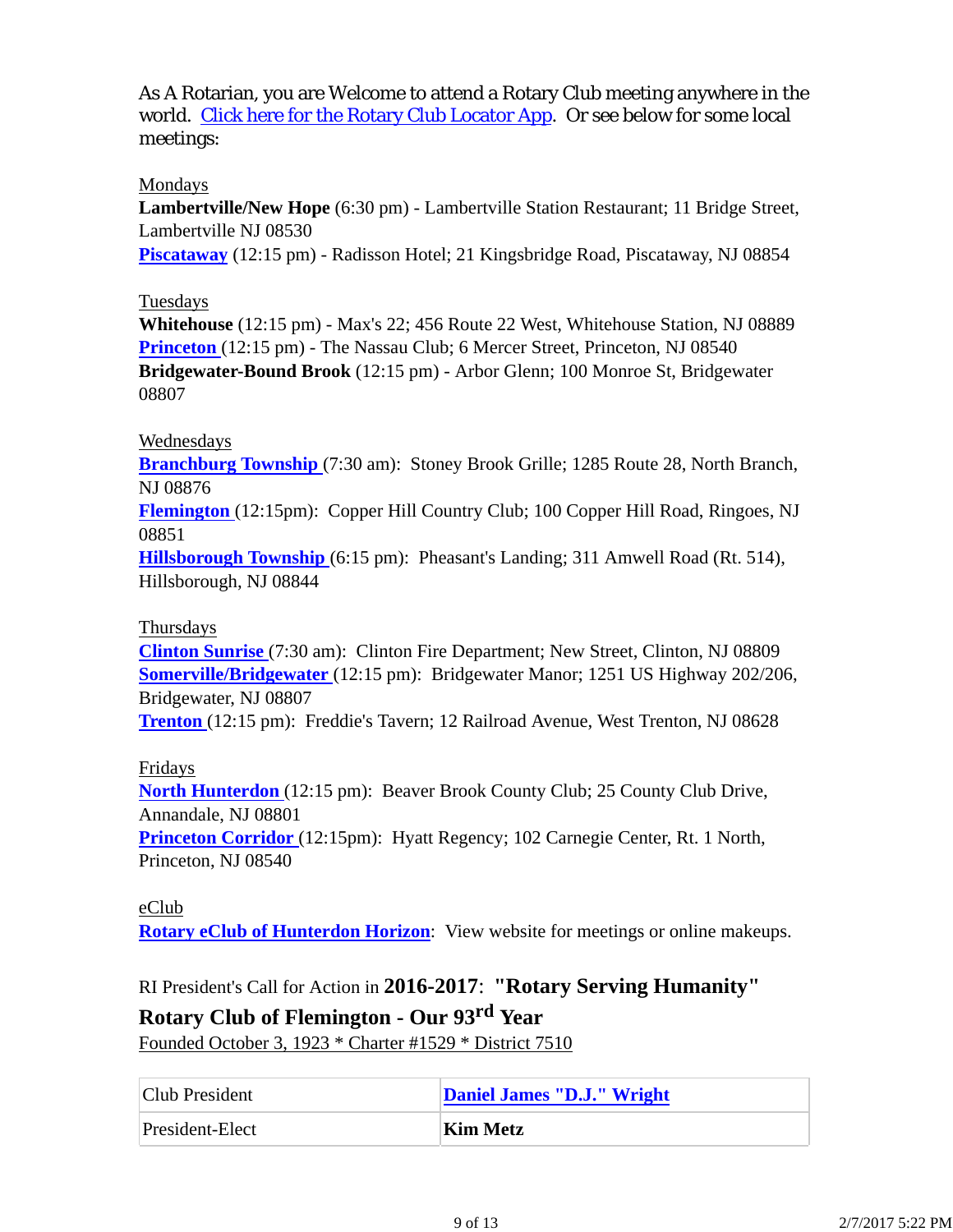As A Rotarian, you are Welcome to attend a Rotary Club meeting anywhere in the world. Click here for the Rotary Club Locator App. Or see below for some local meetings:

### Mondays

**Lambertville/New Hope** (6:30 pm) - Lambertville Station Restaurant; 11 Bridge Street, Lambertville NJ 08530

**Piscataway** (12:15 pm) - Radisson Hotel; 21 Kingsbridge Road, Piscataway, NJ 08854

### Tuesdays

**Whitehouse** (12:15 pm) - Max's 22; 456 Route 22 West, Whitehouse Station, NJ 08889 **Princeton** (12:15 pm) - The Nassau Club; 6 Mercer Street, Princeton, NJ 08540 **Bridgewater-Bound Brook** (12:15 pm) - Arbor Glenn; 100 Monroe St, Bridgewater 08807

### Wednesdays

**Branchburg Township** (7:30 am): Stoney Brook Grille; 1285 Route 28, North Branch, NJ 08876

**Flemington** (12:15pm): Copper Hill Country Club; 100 Copper Hill Road, Ringoes, NJ 08851

**Hillsborough Township** (6:15 pm): Pheasant's Landing; 311 Amwell Road (Rt. 514), Hillsborough, NJ 08844

#### Thursdays

**Clinton Sunrise** (7:30 am): Clinton Fire Department; New Street, Clinton, NJ 08809 **Somerville/Bridgewater** (12:15 pm): Bridgewater Manor; 1251 US Highway 202/206, Bridgewater, NJ 08807

**Trenton** (12:15 pm): Freddie's Tavern; 12 Railroad Avenue, West Trenton, NJ 08628

### Fridays

**North Hunterdon** (12:15 pm): Beaver Brook County Club; 25 County Club Drive, Annandale, NJ 08801

**Princeton Corridor** (12:15pm): Hyatt Regency; 102 Carnegie Center, Rt. 1 North, Princeton, NJ 08540

### eClub

**Rotary eClub of Hunterdon Horizon**: View website for meetings or online makeups.

RI President's Call for Action in **2016-2017**: **"Rotary Serving Humanity"**

## **Rotary Club of Flemington - Our 93rd Year**

Founded October 3, 1923 \* Charter #1529 \* District 7510

| Club President  | Daniel James "D.J." Wright |
|-----------------|----------------------------|
| President-Elect | Kim Metz                   |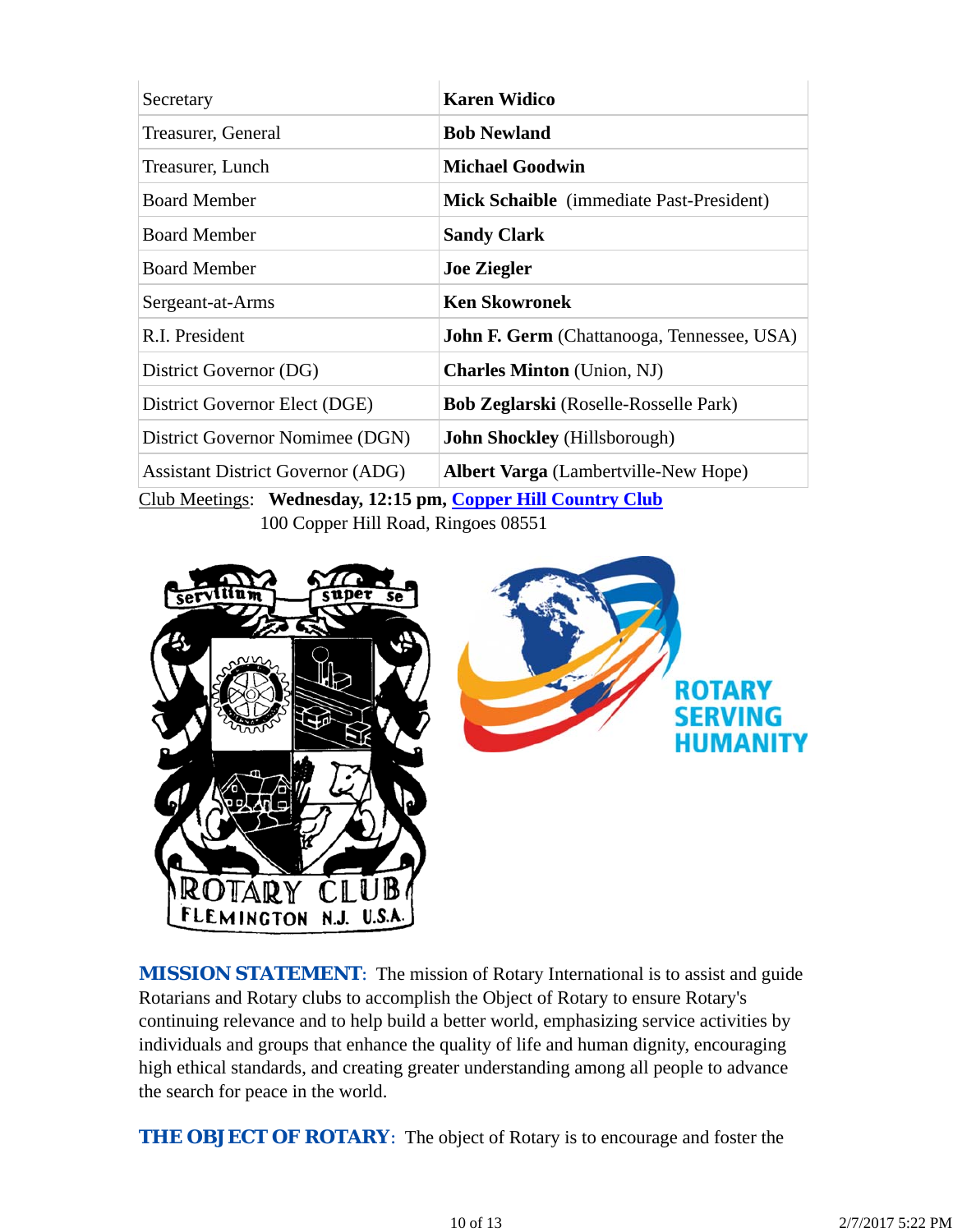| Secretary                                                | <b>Karen Widico</b>                               |  |  |
|----------------------------------------------------------|---------------------------------------------------|--|--|
| Treasurer, General                                       | <b>Bob Newland</b>                                |  |  |
| Treasurer, Lunch                                         | <b>Michael Goodwin</b>                            |  |  |
| <b>Board Member</b>                                      | Mick Schaible (immediate Past-President)          |  |  |
| <b>Board Member</b>                                      | <b>Sandy Clark</b>                                |  |  |
| <b>Board Member</b>                                      | <b>Joe Ziegler</b>                                |  |  |
| Sergeant-at-Arms                                         | <b>Ken Skowronek</b>                              |  |  |
| R.I. President                                           | <b>John F. Germ</b> (Chattanooga, Tennessee, USA) |  |  |
| District Governor (DG)                                   | <b>Charles Minton</b> (Union, NJ)                 |  |  |
| District Governor Elect (DGE)                            | <b>Bob Zeglarski</b> (Roselle-Rosselle Park)      |  |  |
| District Governor Nomimee (DGN)                          | <b>John Shockley</b> (Hillsborough)               |  |  |
| <b>Assistant District Governor (ADG)</b>                 | <b>Albert Varga</b> (Lambertville-New Hope)       |  |  |
| $C1 1 M$ $C1 1 M$<br>$\alpha$ $\alpha$ $\alpha$ $\alpha$ |                                                   |  |  |

Club Meetings: **Wednesday, 12:15 pm, Copper Hill Country Club** 100 Copper Hill Road, Ringoes 08551



**MISSION STATEMENT:** The mission of Rotary International is to assist and guide Rotarians and Rotary clubs to accomplish the Object of Rotary to ensure Rotary's continuing relevance and to help build a better world, emphasizing service activities by individuals and groups that enhance the quality of life and human dignity, encouraging high ethical standards, and creating greater understanding among all people to advance the search for peace in the world.

**THE OBJECT OF ROTARY:** The object of Rotary is to encourage and foster the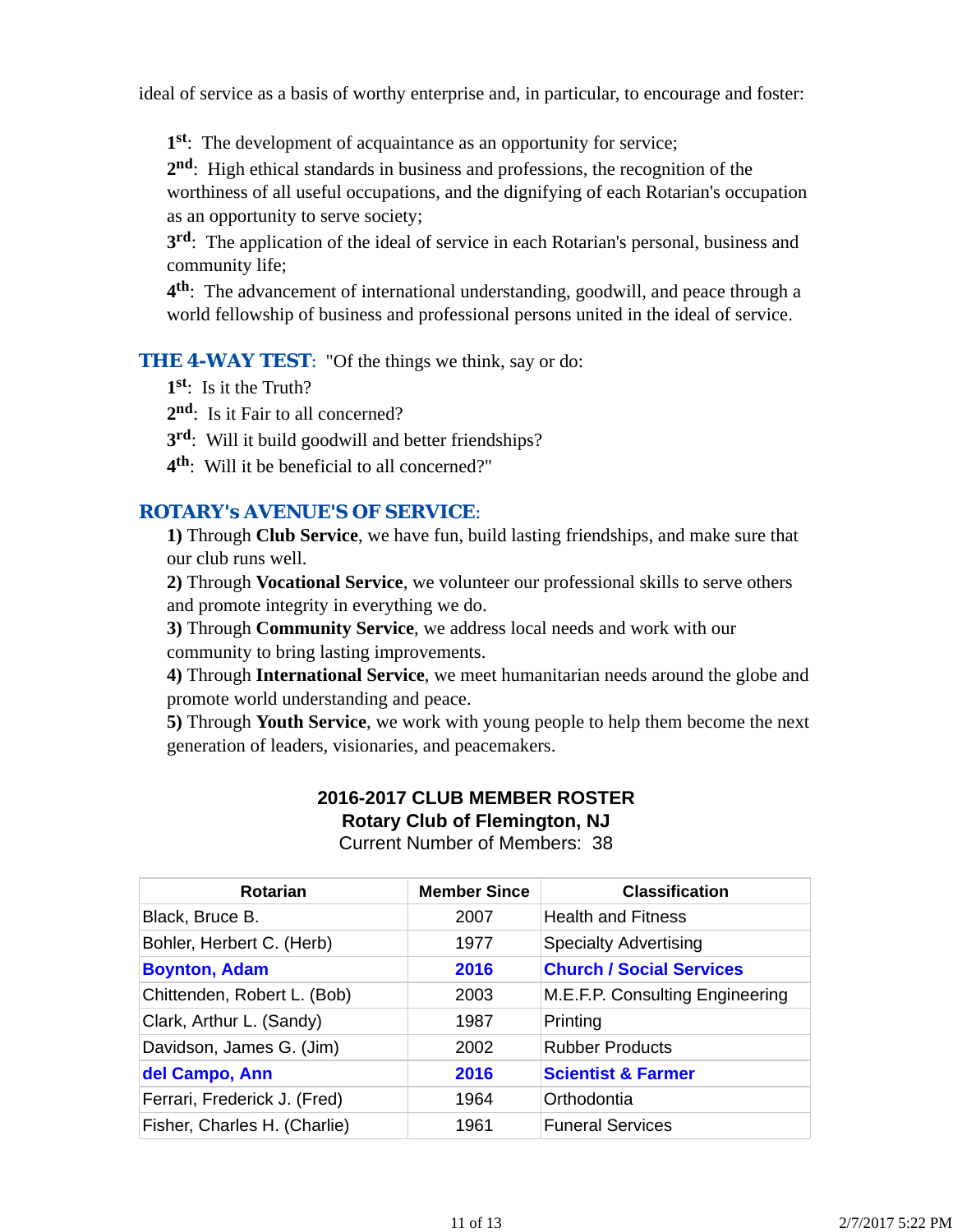ideal of service as a basis of worthy enterprise and, in particular, to encourage and foster:

**1st**: The development of acquaintance as an opportunity for service;

**2nd**: High ethical standards in business and professions, the recognition of the worthiness of all useful occupations, and the dignifying of each Rotarian's occupation as an opportunity to serve society;

**3rd**: The application of the ideal of service in each Rotarian's personal, business and community life;

**4th**: The advancement of international understanding, goodwill, and peace through a world fellowship of business and professional persons united in the ideal of service.

**THE 4-WAY TEST:** "Of the things we think, say or do:

**1st**: Is it the Truth?

2<sup>nd</sup>: Is it Fair to all concerned?

- **3rd**: Will it build goodwill and better friendships?
- **4th**: Will it be beneficial to all concerned?"

### *ROTARY's AVENUE'S OF SERVICE*:

**1)** Through **Club Service**, we have fun, build lasting friendships, and make sure that our club runs well.

**2)** Through **Vocational Service**, we volunteer our professional skills to serve others and promote integrity in everything we do.

**3)** Through **Community Service**, we address local needs and work with our community to bring lasting improvements.

**4)** Through **International Service**, we meet humanitarian needs around the globe and promote world understanding and peace.

**5)** Through **Youth Service**, we work with young people to help them become the next generation of leaders, visionaries, and peacemakers.

# **2016-2017 CLUB MEMBER ROSTER Rotary Club of Flemington, NJ**

Current Number of Members: 38

| Rotarian                     | <b>Member Since</b> | <b>Classification</b>           |
|------------------------------|---------------------|---------------------------------|
| Black, Bruce B.              | 2007                | <b>Health and Fitness</b>       |
| Bohler, Herbert C. (Herb)    | 1977                | <b>Specialty Advertising</b>    |
| <b>Boynton, Adam</b>         | 2016                | <b>Church / Social Services</b> |
| Chittenden, Robert L. (Bob)  | 2003                | M.E.F.P. Consulting Engineering |
| Clark, Arthur L. (Sandy)     | 1987                | Printing                        |
| Davidson, James G. (Jim)     | 2002                | <b>Rubber Products</b>          |
| del Campo, Ann               | 2016                | <b>Scientist &amp; Farmer</b>   |
| Ferrari, Frederick J. (Fred) | 1964                | Orthodontia                     |
| Fisher, Charles H. (Charlie) | 1961                | <b>Funeral Services</b>         |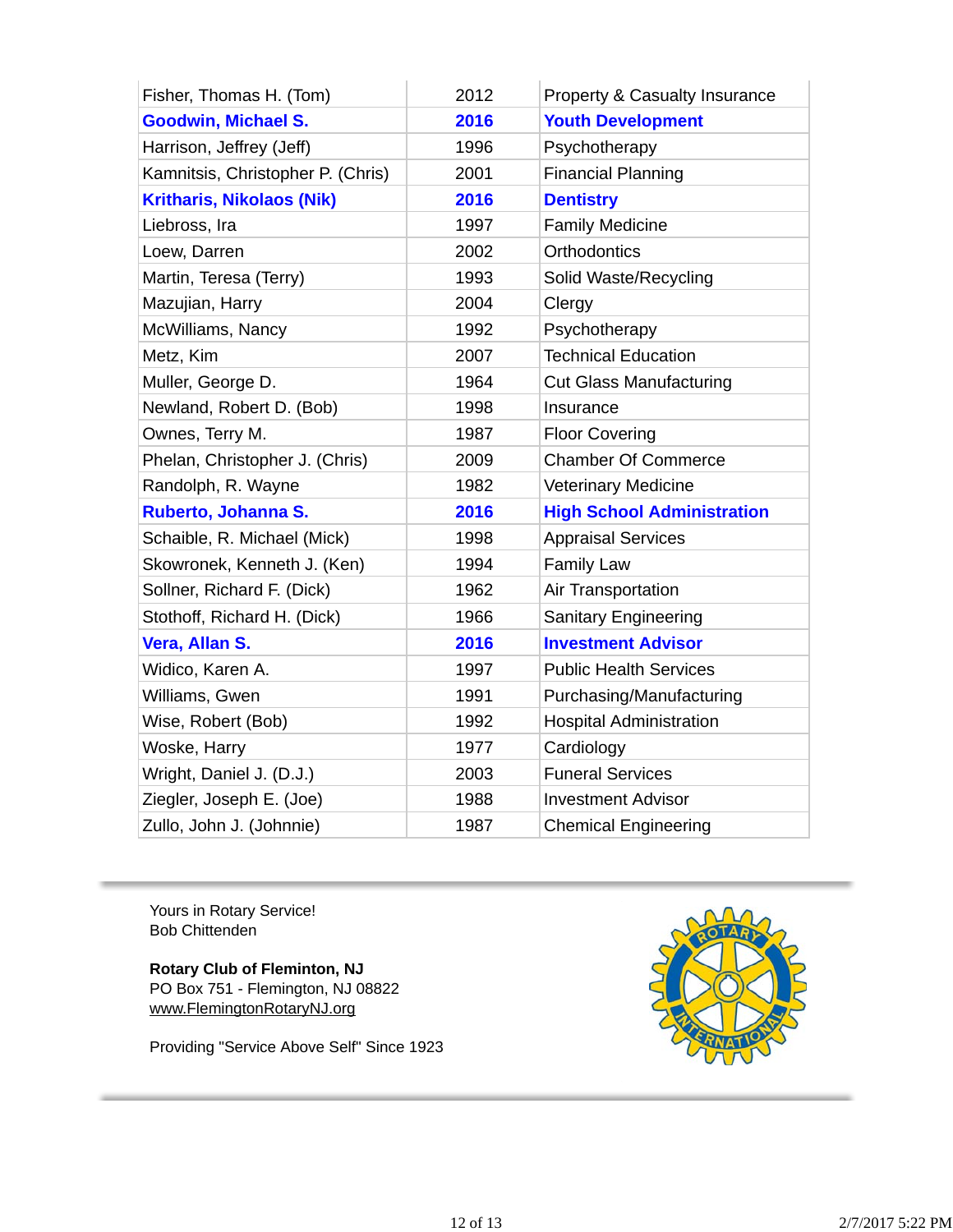| Fisher, Thomas H. (Tom)           | 2012 | Property & Casualty Insurance     |
|-----------------------------------|------|-----------------------------------|
| <b>Goodwin, Michael S.</b>        | 2016 | <b>Youth Development</b>          |
| Harrison, Jeffrey (Jeff)          | 1996 | Psychotherapy                     |
| Kamnitsis, Christopher P. (Chris) | 2001 | <b>Financial Planning</b>         |
| <b>Kritharis, Nikolaos (Nik)</b>  | 2016 | <b>Dentistry</b>                  |
| Liebross, Ira                     | 1997 | <b>Family Medicine</b>            |
| Loew, Darren                      | 2002 | <b>Orthodontics</b>               |
| Martin, Teresa (Terry)            | 1993 | Solid Waste/Recycling             |
| Mazujian, Harry                   | 2004 | Clergy                            |
| McWilliams, Nancy                 | 1992 | Psychotherapy                     |
| Metz, Kim                         | 2007 | <b>Technical Education</b>        |
| Muller, George D.                 | 1964 | <b>Cut Glass Manufacturing</b>    |
| Newland, Robert D. (Bob)          | 1998 | Insurance                         |
| Ownes, Terry M.                   | 1987 | <b>Floor Covering</b>             |
| Phelan, Christopher J. (Chris)    | 2009 | <b>Chamber Of Commerce</b>        |
| Randolph, R. Wayne                | 1982 | <b>Veterinary Medicine</b>        |
| Ruberto, Johanna S.               | 2016 | <b>High School Administration</b> |
| Schaible, R. Michael (Mick)       | 1998 | <b>Appraisal Services</b>         |
| Skowronek, Kenneth J. (Ken)       | 1994 | <b>Family Law</b>                 |
| Sollner, Richard F. (Dick)        | 1962 | Air Transportation                |
| Stothoff, Richard H. (Dick)       | 1966 | <b>Sanitary Engineering</b>       |
| Vera, Allan S.                    | 2016 | <b>Investment Advisor</b>         |
| Widico, Karen A.                  | 1997 | <b>Public Health Services</b>     |
| Williams, Gwen                    | 1991 | Purchasing/Manufacturing          |
| Wise, Robert (Bob)                | 1992 | <b>Hospital Administration</b>    |
| Woske, Harry                      | 1977 | Cardiology                        |
| Wright, Daniel J. (D.J.)          | 2003 | <b>Funeral Services</b>           |
| Ziegler, Joseph E. (Joe)          | 1988 | <b>Investment Advisor</b>         |
| Zullo, John J. (Johnnie)          | 1987 | <b>Chemical Engineering</b>       |

Yours in Rotary Service! Bob Chittenden

**Rotary Club of Fleminton, NJ** PO Box 751 - Flemington, NJ 08822 www.FlemingtonRotaryNJ.org

Providing "Service Above Self" Since 1923